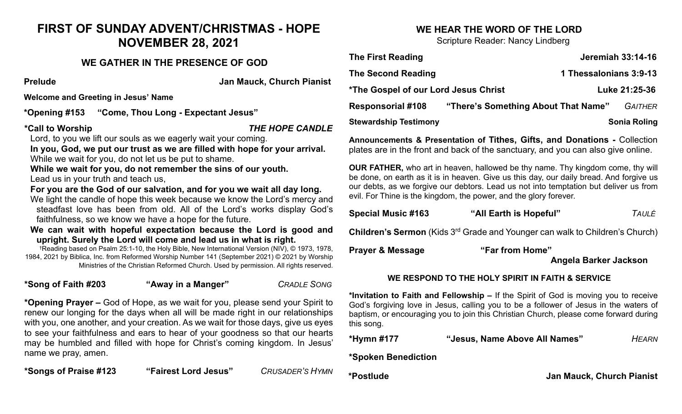# **FIRST OF SUNDAY ADVENT/CHRISTMAS - HOPE NOVEMBER 28, 2021**

## **WE GATHER IN THE PRESENCE OF GOD**

**Prelude Jan Mauck, Church Pianist**

**Welcome and Greeting in Jesus' Name**

**\*Opening #153 "Come, Thou Long - Expectant Jesus"** 

**\*Call to Worship** *THE HOPE CANDLE*

Lord, to you we lift our souls as we eagerly wait your coming.

**In you, God, we put our trust as we are filled with hope for your arrival.** While we wait for you, do not let us be put to shame.

**While we wait for you, do not remember the sins of our youth.** Lead us in your truth and teach us,

**For you are the God of our salvation, and for you we wait all day long.** 

We light the candle of hope this week because we know the Lord's mercy and steadfast love has been from old. All of the Lord's works display God's faithfulness, so we know we have a hope for the future.

**We can wait with hopeful expectation because the Lord is good and upright. Surely the Lord will come and lead us in what is right.** 

†Reading based on Psalm 25:1-10, the Holy Bible, New International Version (NIV), © 1973, 1978, 1984, 2021 by Biblica, Inc. from Reformed Worship Number 141 (September 2021) © 2021 by Worship Ministries of the Christian Reformed Church. Used by permission. All rights reserved.

**\*Song of Faith #203 "Away in a Manger"** *CRADLE SONG* 

**\*Opening Prayer –** God of Hope, as we wait for you, please send your Spirit to renew our longing for the days when all will be made right in our relationships with you, one another, and your creation. As we wait for those days, give us eyes to see your faithfulness and ears to hear of your goodness so that our hearts may be humbled and filled with hope for Christ's coming kingdom. In Jesus' name we pray, amen.

**\*Songs of Praise #123 "Fairest Lord Jesus"** *CRUSADER'S HYMN*

## **WE HEAR THE WORD OF THE LORD**

Scripture Reader: Nancy Lindberg

| <b>The First Reading</b>                           |                                     |                        | <b>Jeremiah 33:14-16</b> |
|----------------------------------------------------|-------------------------------------|------------------------|--------------------------|
| The Second Reading                                 |                                     | 1 Thessalonians 3:9-13 |                          |
| <i><b>*The Gospel of our Lord Jesus Christ</b></i> |                                     |                        | Luke 21:25-36            |
| <b>Responsorial #108</b>                           | "There's Something About That Name" |                        | <b>GAITHER</b>           |
| <b>Stewardship Testimony</b>                       |                                     |                        | <b>Sonia Roling</b>      |

**Announcements & Presentation of Tithes, Gifts, and Donations -** Collection plates are in the front and back of the sanctuary, and you can also give online.

**OUR FATHER,** who art in heaven, hallowed be thy name. Thy kingdom come, thy will be done, on earth as it is in heaven. Give us this day, our daily bread. And forgive us our debts, as we forgive our debtors. Lead us not into temptation but deliver us from evil. For Thine is the kingdom, the power, and the glory forever.

| <b>Special Music #163</b> | "All Earth is Hopeful" | TAULÉ |
|---------------------------|------------------------|-------|
|---------------------------|------------------------|-------|

**Children's Sermon** (Kids 3<sup>rd</sup> Grade and Younger can walk to Children's Church)

**Prayer & Message "Far from Home"** 

 **Angela Barker Jackson**

#### **WE RESPOND TO THE HOLY SPIRIT IN FAITH & SERVICE**

**\*Invitation to Faith and Fellowship –** If the Spirit of God is moving you to receive God's forgiving love in Jesus, calling you to be a follower of Jesus in the waters of baptism, or encouraging you to join this Christian Church, please come forward during this song.

**\*Hymn #177 "Jesus, Name Above All Names"** *HEARN*

#### **\*Spoken Benediction**

**\*Postlude Jan Mauck, Church Pianist**